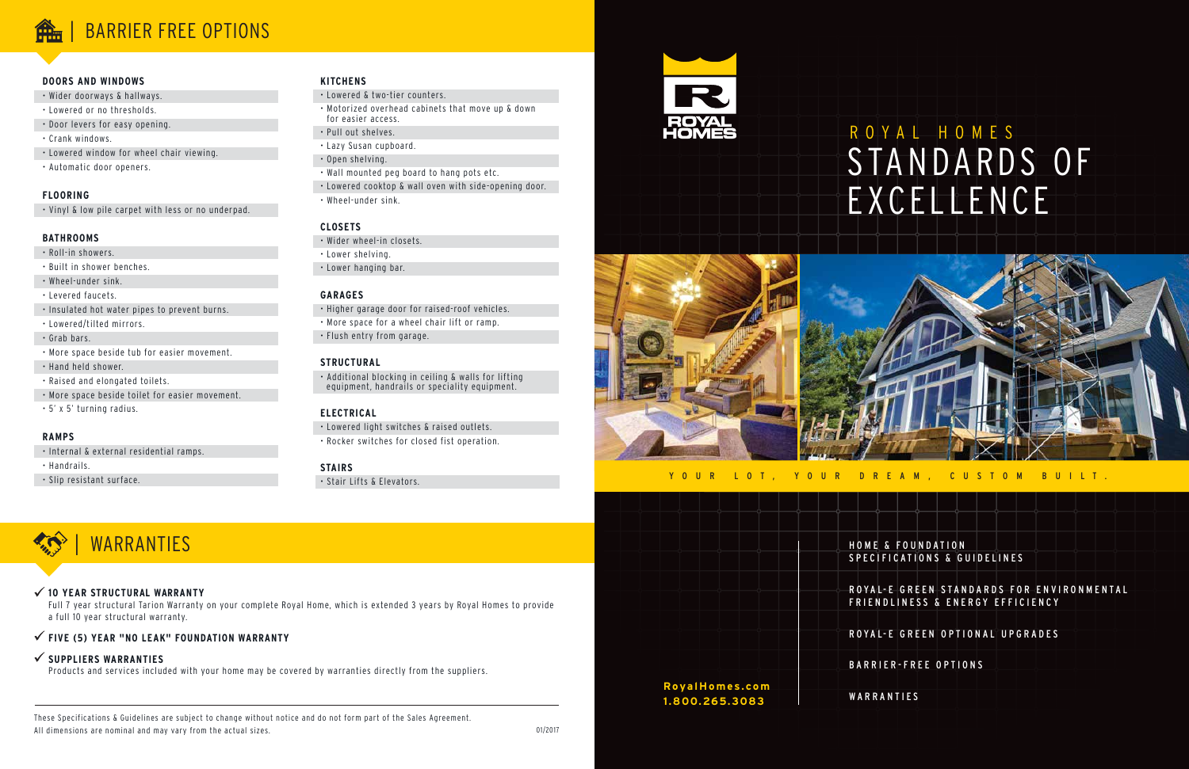# ROYAL HOMES STANDARDS OF EXCELLENCE

& FOUNDATION SPECIFICATIONS & GUIDELINES

L-E GREEN STANDARDS FOR ENVIRONMENTAL IDLINESS & ENERGY EFFICIENCY

L- E G R E E N O P T I O N A L U P G R A D E S

**IER-FREE OPTIONS** 

**ANTIES** 

|  |                 |  |  |  | HOME         |
|--|-----------------|--|--|--|--------------|
|  |                 |  |  |  | <b>SPECI</b> |
|  |                 |  |  |  | ROYAI        |
|  |                 |  |  |  | FRIEN        |
|  |                 |  |  |  | <b>ROYA</b>  |
|  |                 |  |  |  | <b>BARR</b>  |
|  | Royal Homes.com |  |  |  |              |
|  | 1.800.265.3083  |  |  |  | WARR         |
|  |                 |  |  |  |              |

These Specifications & Guidelines are subject to change without notice and do not form part of the Sales Agreement. All dimensions are nominal and may vary from the actual sizes.

#### **DOORS AND WINDOWS**

- Wider doorways & hallways.
- Lowered or no thresholds.

• Door levers for easy opening.

- Crank windows.
- Lowered window for wheel chair viewing.
- Automatic door openers.

#### **FLOORING**

• Vinyl & low pile carpet with less or no underpad.

#### **BATHROOMS**

- Roll-in showers.
- Built in shower benches.
- Wheel-under sink.
- Levered faucets.
- Insulated hot water pipes to prevent burns.
- Lowered/tilted mirrors.
- Grab bars.
- More space beside tub for easier movement.
- Hand held shower.
- Raised and elongated toilets.
- More space beside toilet for easier movement.
- 5' x 5' turning radius.

#### **RAMPS**

- Internal & external residential ramps.
- Handrails.
- Slip resistant surface.

#### **KITCHENS**

- Lowered & two-tier counters.
- Motorized overhead cabinets that move up & down for easier access.
- Pull out shelves.
- Lazy Susan cupboard.
- Open shelving.
- Wall mounted peg board to hang pots etc.
- Lowered cooktop & wall oven with side-opening door.
- Wheel-under sink.

#### **CLOSETS**

- Wider wheel-in closets.
- Lower shelving.
- Lower hanging bar.

#### **GARAGES**

- Higher garage door for raised-roof vehicles.
- More space for a wheel chair lift or ramp. • Flush entry from garage.

#### **STRUCTURAL**

• Additional blocking in ceiling & walls for lifting equipment, handrails or speciality equipment.

### **ELECTRICAL**

- Lowered light switches & raised outlets.
- Rocker switches for closed fist operation.

#### **STAIRS**

• Stair Lifts & Elevators.





### | BARRIER FREE OPTIONS

#### **10 YEAR STRUCTURAL WARRANTY**

Full 7 year structural Tarion Warranty on your complete Royal Home, which is extended 3 years by Royal Homes to provide a full 10 year structural warranty.

#### **FIVE (5) YEAR "NO LEAK" FOUNDATION WARRANTY**

**SUPPLIERS WARRANTIES**

Products and services included with your home may be covered by warranties directly from the suppliers.



YOUR LOT, YOUR DREAM, CUSTOM BUILT.